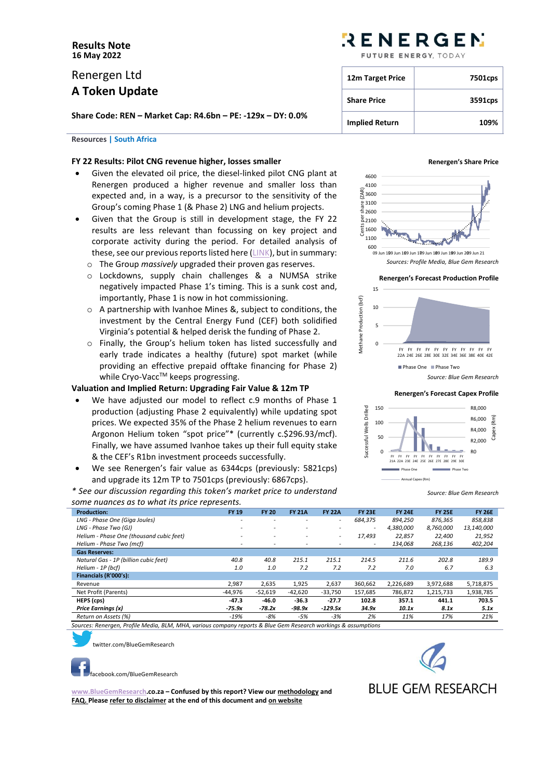# **Results Note 16 May 2022**

# Renergen Ltd **A Token Update**

**Share Code: REN – Market Cap: R4.6bn – PE: -129x – DY: 0.0%**

# **Resources | South Africa**

# **FY 22 Results: Pilot CNG revenue higher, losses smaller**

- Given the elevated oil price, the diesel-linked pilot CNG plant at Renergen produced a higher revenue and smaller loss than expected and, in a way, is a precursor to the sensitivity of the Group's coming Phase 1 (& Phase 2) LNG and helium projects.
- Given that the Group is still in development stage, the FY 22 results are less relevant than focussing on key project and corporate activity during the period. For detailed analysis of these, see our previous reports listed here [\(LINK\)](https://bluegemresearch.co.za/?cat=100), but in summary:
	- o The Group *massively* upgraded their proven gas reserves.
	- o Lockdowns, supply chain challenges & a NUMSA strike negatively impacted Phase 1's timing. This is a sunk cost and, importantly, Phase 1 is now in hot commissioning.
	- o A partnership with Ivanhoe Mines &, subject to conditions, the investment by the Central Energy Fund (CEF) both solidified Virginia's potential & helped derisk the funding of Phase 2.
	- o Finally, the Group's helium token has listed successfully and early trade indicates a healthy (future) spot market (while providing an effective prepaid offtake financing for Phase 2) while Cryo-Vacc™ keeps progressing.

# **Valuation and Implied Return: Upgrading Fair Value & 12m TP**

- We have adjusted our model to reflect c.9 months of Phase 1 production (adjusting Phase 2 equivalently) while updating spot prices. We expected 35% of the Phase 2 helium revenues to earn Argonon Helium token "spot price"\* (currently c.\$296.93/mcf). Finally, we have assumed Ivanhoe takes up their full equity stake & the CEF's R1bn investment proceeds successfully.
- We see Renergen's fair value as 6344cps (previously: 5821cps) and upgrade its 12m TP to 7501cps (previously: 6867cps).

*\* See our discussion regarding this token's market price to understand some nuances as to what its price represents.*

# RENERGEN

FUTURE ENERGY TODAY

| 12m Target Price      | 7501cps |
|-----------------------|---------|
| <b>Share Price</b>    | 3591cps |
| <b>Implied Return</b> | 109%    |

#### **Renergen's Share Price**



*Sources: Profile Media, Blue Gem Research*

**Renergen's Forecast Production Profile**



#### **Renergen's Forecast Capex Profile**



*Source: Blue Gem Research*

| <b>Production:</b>                       | <b>FY 19</b>             | <b>FY 20</b>             | <b>FY 21A</b>            | <b>FY 22A</b>            | <b>FY 23E</b>            | <b>FY 24E</b> | <b>FY 25E</b> | <b>FY 26E</b> |
|------------------------------------------|--------------------------|--------------------------|--------------------------|--------------------------|--------------------------|---------------|---------------|---------------|
| LNG - Phase One (Giga Joules)            |                          | $\overline{a}$           |                          | $\overline{\phantom{a}}$ | 684.375                  | 894,250       | 876,365       | 858,838       |
| LNG - Phase Two (GJ)                     | -                        | $\overline{\phantom{0}}$ | $\overline{\phantom{0}}$ | ۰.                       | $\overline{\phantom{a}}$ | 4,380,000     | 8,760,000     | 13,140,000    |
| Helium - Phase One (thousand cubic feet) |                          | $\overline{\phantom{a}}$ | $\overline{\phantom{0}}$ | ۰.                       | 17.493                   | 22,857        | 22,400        | 21,952        |
| Helium - Phase Two (mcf)                 | $\overline{\phantom{a}}$ | $\overline{\phantom{a}}$ |                          |                          | $\overline{\phantom{0}}$ | 134,068       | 268,136       | 402,204       |
| <b>Gas Reserves:</b>                     |                          |                          |                          |                          |                          |               |               |               |
| Natural Gas - 1P (billion cubic feet)    | 40.8                     | 40.8                     | 215.1                    | 215.1                    | 214.5                    | 211.6         | 202.8         | 189.9         |
| Helium - 1P (bcf)                        | 1.0                      | 1.0                      | 7.2                      | 7.2                      | 7.2                      | 7.0           | 6.7           | 6.3           |
| Financials (R'000's):                    |                          |                          |                          |                          |                          |               |               |               |
| Revenue                                  | 2,987                    | 2,635                    | 1,925                    | 2,637                    | 360,662                  | 2,226,689     | 3,972,688     | 5,718,875     |
| Net Profit (Parents)                     | $-44,976$                | $-52,619$                | $-42,620$                | $-33,750$                | 157,685                  | 786,872       | 1,215,733     | 1,938,785     |
| HEPS (cps)                               | $-47.3$                  | $-46.0$                  | $-36.3$                  | $-27.7$                  | 102.8                    | 357.1         | 441.1         | 703.5         |
| Price Earnings (x)                       | $-75.9x$                 | $-78.2x$                 | -98.9x                   | $-129.5x$                | 34.9x                    | 10.1x         | 8.1x          | 5.1x          |
| Return on Assets (%)                     | $-19%$                   | $-8%$                    | $-5%$                    | $-3%$                    | 2%                       | 11%           | 17%           | 21%           |

*Sources: Renergen, Profile Media, BLM, MHA, various company reports & Blue Gem Research workings & assumptions*



[tw](https://twitter.com/BlueGemResearch)itter.com/BlueGemResearch

[fa](https://www.facebook.com/BlueGemResearch)cebook.com/BlueGemResearch

**[www.BlueGemResearch.](http://www.bluegemresearch/)co.za – Confused by this report? View ou[r methodology](http://bluegemresearch.co.za/?page_id=9) and [FAQ.](http://bluegemresearch.co.za/?page_id=36) Please refer to disclaimer at the end of this document an[d on website](http://bluegemresearch.co.za/?page_id=17)**



**BLUE GEM RESEARCH**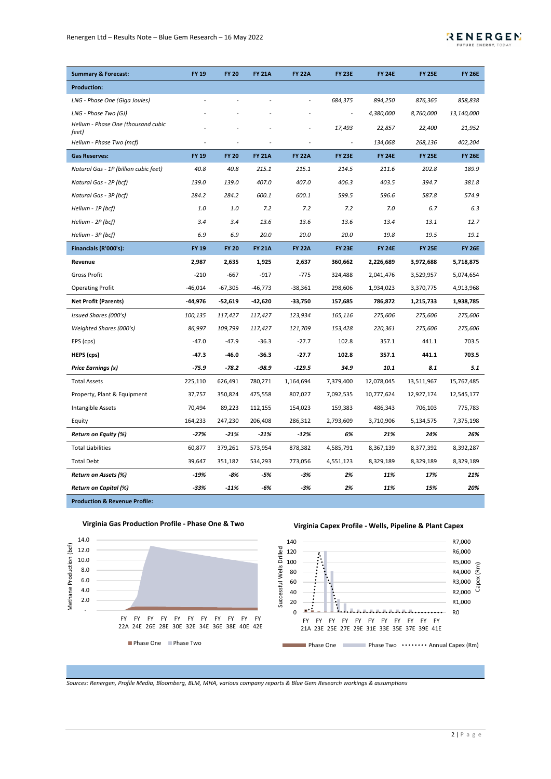

| <b>Summary &amp; Forecast:</b>              | <b>FY 19</b> | <b>FY 20</b> | <b>FY 21A</b> | <b>FY 22A</b>  | <b>FY 23E</b> | <b>FY 24E</b> | <b>FY 25E</b> | <b>FY 26E</b> |
|---------------------------------------------|--------------|--------------|---------------|----------------|---------------|---------------|---------------|---------------|
| <b>Production:</b>                          |              |              |               |                |               |               |               |               |
| LNG - Phase One (Giga Joules)               |              |              |               | $\overline{a}$ | 684,375       | 894,250       | 876,365       | 858,838       |
| LNG - Phase Two (GJ)                        |              |              |               |                |               | 4,380,000     | 8,760,000     | 13,140,000    |
| Helium - Phase One (thousand cubic<br>feet) |              |              |               | $\overline{a}$ | 17,493        | 22,857        | 22,400        | 21,952        |
| Helium - Phase Two (mcf)                    |              |              |               |                |               | 134,068       | 268,136       | 402,204       |
| <b>Gas Reserves:</b>                        | <b>FY 19</b> | <b>FY 20</b> | <b>FY 21A</b> | <b>FY 22A</b>  | <b>FY 23E</b> | <b>FY 24E</b> | <b>FY 25E</b> | <b>FY 26E</b> |
| Natural Gas - 1P (billion cubic feet)       | 40.8         | 40.8         | 215.1         | 215.1          | 214.5         | 211.6         | 202.8         | 189.9         |
| Natural Gas - 2P (bcf)                      | 139.0        | 139.0        | 407.0         | 407.0          | 406.3         | 403.5         | 394.7         | 381.8         |
| Natural Gas - 3P (bcf)                      | 284.2        | 284.2        | 600.1         | 600.1          | 599.5         | 596.6         | 587.8         | 574.9         |
| Helium - 1P (bcf)                           | 1.0          | 1.0          | 7.2           | 7.2            | 7.2           | 7.0           | 6.7           | 6.3           |
| Helium - 2P (bcf)                           | 3.4          | 3.4          | 13.6          | 13.6           | 13.6          | 13.4          | 13.1          | 12.7          |
| Helium - 3P (bcf)                           | 6.9          | 6.9          | 20.0          | 20.0           | 20.0          | 19.8          | 19.5          | 19.1          |
| Financials (R'000's):                       | <b>FY 19</b> | <b>FY 20</b> | <b>FY 21A</b> | <b>FY 22A</b>  | <b>FY 23E</b> | <b>FY 24E</b> | <b>FY 25E</b> | <b>FY 26E</b> |
| Revenue                                     | 2,987        | 2,635        | 1,925         | 2,637          | 360,662       | 2,226,689     | 3,972,688     | 5,718,875     |
| Gross Profit                                | $-210$       | $-667$       | $-917$        | $-775$         | 324,488       | 2,041,476     | 3,529,957     | 5,074,654     |
| <b>Operating Profit</b>                     | $-46,014$    | $-67,305$    | $-46,773$     | $-38,361$      | 298,606       | 1,934,023     | 3,370,775     | 4,913,968     |
| <b>Net Profit (Parents)</b>                 | -44,976      | $-52,619$    | $-42,620$     | $-33,750$      | 157,685       | 786,872       | 1,215,733     | 1,938,785     |
| Issued Shares (000's)                       | 100,135      | 117,427      | 117,427       | 123,934        | 165,116       | 275,606       | 275,606       | 275,606       |
| Weighted Shares (000's)                     | 86,997       | 109,799      | 117,427       | 121,709        | 153,428       | 220,361       | 275,606       | 275,606       |
| EPS (cps)                                   | $-47.0$      | $-47.9$      | $-36.3$       | $-27.7$        | 102.8         | 357.1         | 441.1         | 703.5         |
| HEPS (cps)                                  | $-47.3$      | -46.0        | $-36.3$       | $-27.7$        | 102.8         | 357.1         | 441.1         | 703.5         |
| Price Earnings (x)                          | $-75.9$      | -78.2        | -98.9         | $-129.5$       | 34.9          | 10.1          | 8.1           | 5.1           |
| <b>Total Assets</b>                         | 225,110      | 626,491      | 780,271       | 1,164,694      | 7,379,400     | 12,078,045    | 13,511,967    | 15,767,485    |
| Property, Plant & Equipment                 | 37,757       | 350,824      | 475,558       | 807,027        | 7,092,535     | 10,777,624    | 12,927,174    | 12,545,177    |
| Intangible Assets                           | 70,494       | 89,223       | 112,155       | 154,023        | 159,383       | 486,343       | 706,103       | 775,783       |
| Equity                                      | 164,233      | 247,230      | 206,408       | 286,312        | 2,793,609     | 3,710,906     | 5,134,575     | 7,375,198     |
| <b>Return on Equity (%)</b>                 | $-27%$       | $-21%$       | $-21%$        | $-12%$         | 6%            | 21%           | 24%           | 26%           |
| <b>Total Liabilities</b>                    | 60,877       | 379,261      | 573,954       | 878,382        | 4,585,791     | 8,367,139     | 8,377,392     | 8,392,287     |
| <b>Total Debt</b>                           | 39,647       | 351,182      | 534,293       | 773,056        | 4,551,123     | 8,329,189     | 8,329,189     | 8,329,189     |
| Return on Assets (%)                        | $-19%$       | -8%          | -5%           | -3%            | 2%            | 11%           | 17%           | 21%           |
| <b>Return on Capital (%)</b>                | $-33%$       | $-11%$       | -6%           | $-3%$          | 2%            | 11%           | 15%           | 20%           |
|                                             |              |              |               |                |               |               |               |               |

**Production & Revenue Profile:**

**Virginia Gas Production Profile - Phase One & Two**



**Virginia Capex Profile - Wells, Pipeline & Plant Capex**



*Sources: Renergen, Profile Media, Bloomberg, BLM, MHA, various company reports & Blue Gem Research workings & assumptions*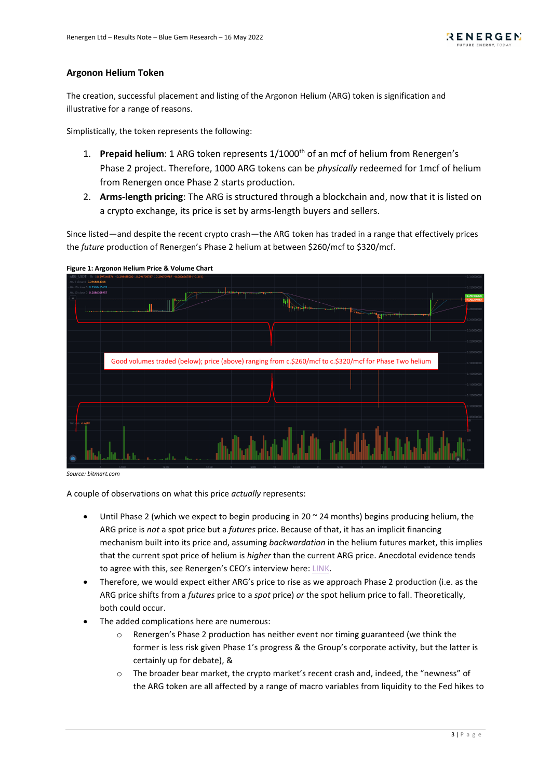# **Argonon Helium Token**

The creation, successful placement and listing of the Argonon Helium (ARG) token is signification and illustrative for a range of reasons.

Simplistically, the token represents the following:

- 1. **Prepaid helium**: 1 ARG token represents 1/1000<sup>th</sup> of an mcf of helium from Renergen's Phase 2 project. Therefore, 1000 ARG tokens can be *physically* redeemed for 1mcf of helium from Renergen once Phase 2 starts production.
- 2. **Arms-length pricing**: The ARG is structured through a blockchain and, now that it is listed on a crypto exchange, its price is set by arms-length buyers and sellers.

Since listed—and despite the recent crypto crash—the ARG token has traded in a range that effectively prices the *future* production of Renergen's Phase 2 helium at between \$260/mcf to \$320/mcf.



**Figure 1: Argonon Helium Price & Volume Chart**

*Source: bitmart.com*

A couple of observations on what this price *actually* represents:

- Until Phase 2 (which we expect to begin producing in 20  $\sim$  24 months) begins producing helium, the ARG price is *not* a spot price but a *futures* price. Because of that, it has an implicit financing mechanism built into its price and, assuming *backwardation* in the helium futures market, this implies that the current spot price of helium is *higher* than the current ARG price. Anecdotal evidence tends to agree with this, see Renergen's CEO's interview here[: LINK.](https://argonon-he.com/ama-12may2022/)
- Therefore, we would expect either ARG's price to rise as we approach Phase 2 production (i.e. as the ARG price shifts from a *futures* price to a *spot* price) *or* the spot helium price to fall. Theoretically, both could occur.
- The added complications here are numerous:
	- o Renergen's Phase 2 production has neither event nor timing guaranteed (we think the former is less risk given Phase 1's progress & the Group's corporate activity, but the latter is certainly up for debate), &
	- o The broader bear market, the crypto market's recent crash and, indeed, the "newness" of the ARG token are all affected by a range of macro variables from liquidity to the Fed hikes to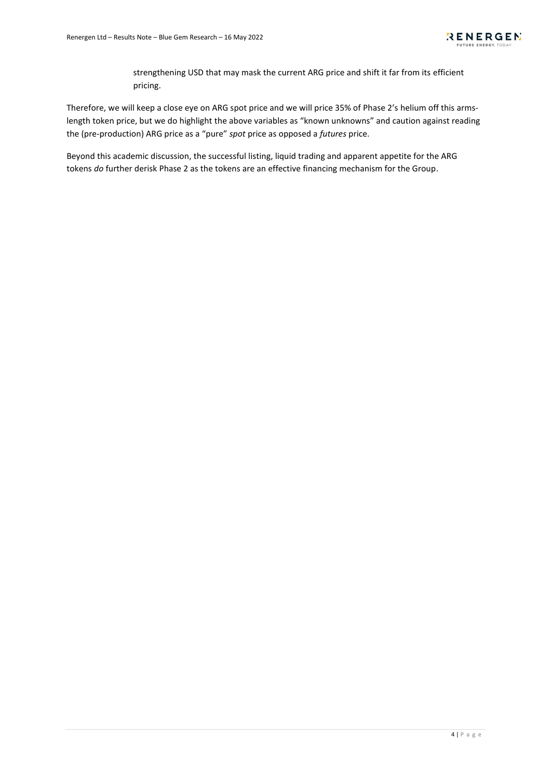strengthening USD that may mask the current ARG price and shift it far from its efficient pricing.

Therefore, we will keep a close eye on ARG spot price and we will price 35% of Phase 2's helium off this armslength token price, but we do highlight the above variables as "known unknowns" and caution against reading the (pre-production) ARG price as a "pure" *spot* price as opposed a *futures* price.

Beyond this academic discussion, the successful listing, liquid trading and apparent appetite for the ARG tokens *do* further derisk Phase 2 as the tokens are an effective financing mechanism for the Group.